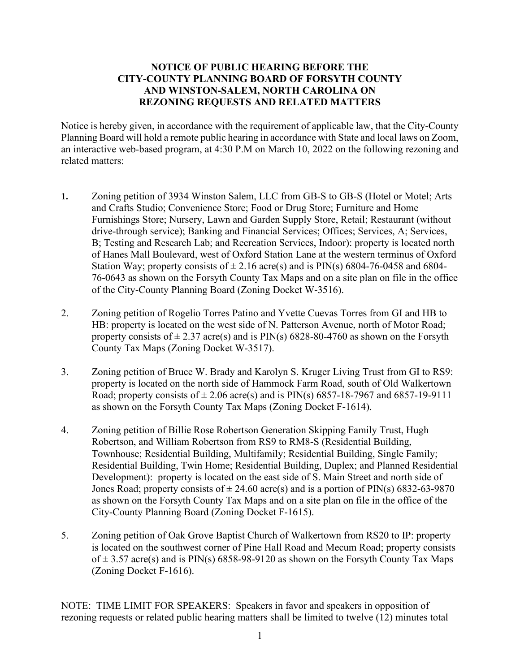## **NOTICE OF PUBLIC HEARING BEFORE THE CITY-COUNTY PLANNING BOARD OF FORSYTH COUNTY AND WINSTON-SALEM, NORTH CAROLINA ON REZONING REQUESTS AND RELATED MATTERS**

Notice is hereby given, in accordance with the requirement of applicable law, that the City-County Planning Board will hold a remote public hearing in accordance with State and local laws on Zoom, an interactive web-based program, at 4:30 P.M on March 10, 2022 on the following rezoning and related matters:

- **1.** Zoning petition of 3934 Winston Salem, LLC from GB-S to GB-S (Hotel or Motel; Arts and Crafts Studio; Convenience Store; Food or Drug Store; Furniture and Home Furnishings Store; Nursery, Lawn and Garden Supply Store, Retail; Restaurant (without drive-through service); Banking and Financial Services; Offices; Services, A; Services, B; Testing and Research Lab; and Recreation Services, Indoor): property is located north of Hanes Mall Boulevard, west of Oxford Station Lane at the western terminus of Oxford Station Way; property consists of  $\pm$  2.16 acre(s) and is PIN(s) 6804-76-0458 and 6804-76-0643 as shown on the Forsyth County Tax Maps and on a site plan on file in the office of the City-County Planning Board (Zoning Docket W-3516).
- 2. Zoning petition of Rogelio Torres Patino and Yvette Cuevas Torres from GI and HB to HB: property is located on the west side of N. Patterson Avenue, north of Motor Road; property consists of  $\pm$  2.37 acre(s) and is PIN(s) 6828-80-4760 as shown on the Forsyth County Tax Maps (Zoning Docket W-3517).
- 3. Zoning petition of Bruce W. Brady and Karolyn S. Kruger Living Trust from GI to RS9: property is located on the north side of Hammock Farm Road, south of Old Walkertown Road; property consists of  $\pm 2.06$  acre(s) and is PIN(s) 6857-18-7967 and 6857-19-9111 as shown on the Forsyth County Tax Maps (Zoning Docket F-1614).
- 4. Zoning petition of Billie Rose Robertson Generation Skipping Family Trust, Hugh Robertson, and William Robertson from RS9 to RM8-S (Residential Building, Townhouse; Residential Building, Multifamily; Residential Building, Single Family; Residential Building, Twin Home; Residential Building, Duplex; and Planned Residential Development): property is located on the east side of S. Main Street and north side of Jones Road; property consists of  $\pm 24.60$  acre(s) and is a portion of PIN(s) 6832-63-9870 as shown on the Forsyth County Tax Maps and on a site plan on file in the office of the City-County Planning Board (Zoning Docket F-1615).
- 5. Zoning petition of Oak Grove Baptist Church of Walkertown from RS20 to IP: property is located on the southwest corner of Pine Hall Road and Mecum Road; property consists of  $\pm$  3.57 acre(s) and is PIN(s) 6858-98-9120 as shown on the Forsyth County Tax Maps (Zoning Docket F-1616).

NOTE: TIME LIMIT FOR SPEAKERS: Speakers in favor and speakers in opposition of rezoning requests or related public hearing matters shall be limited to twelve (12) minutes total